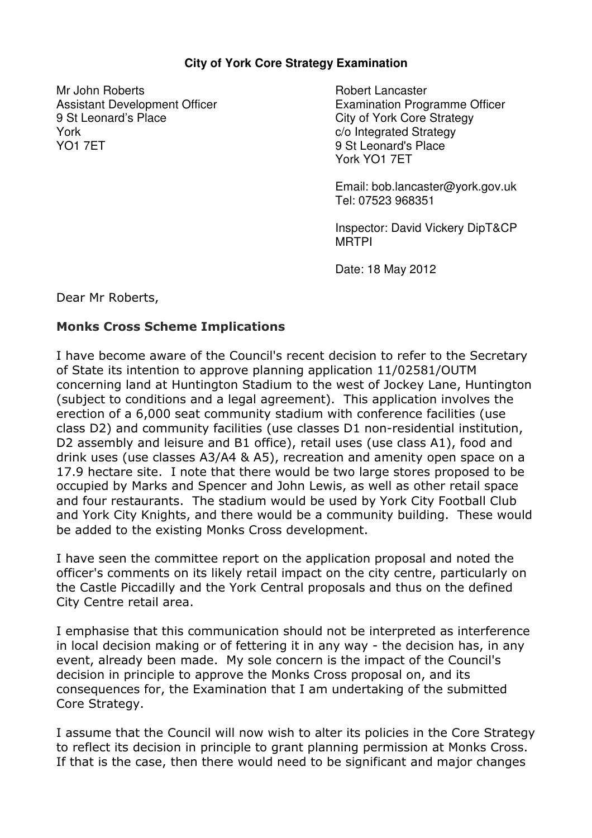## **City of York Core Strategy Examination**

Mr John Roberts Assistant Development Officer 9 St Leonard's Place York YO1 7ET

Robert Lancaster Examination Programme Officer City of York Core Strategy c/o Integrated Strategy 9 St Leonard's Place York YO1 7ET

Email: bob.lancaster@york.gov.uk Tel: 07523 968351

Inspector: David Vickery DipT&CP MRTPI

Date: 18 May 2012

Dear Mr Roberts,

## Monks Cross Scheme Implications

I have become aware of the Council's recent decision to refer to the Secretary of State its intention to approve planning application 11/02581/OUTM concerning land at Huntington Stadium to the west of Jockey Lane, Huntington (subject to conditions and a legal agreement). This application involves the erection of a 6,000 seat community stadium with conference facilities (use class D2) and community facilities (use classes D1 non-residential institution, D2 assembly and leisure and B1 office), retail uses (use class A1), food and drink uses (use classes A3/A4 & A5), recreation and amenity open space on a 17.9 hectare site. I note that there would be two large stores proposed to be occupied by Marks and Spencer and John Lewis, as well as other retail space and four restaurants. The stadium would be used by York City Football Club and York City Knights, and there would be a community building. These would be added to the existing Monks Cross development.

I have seen the committee report on the application proposal and noted the officer's comments on its likely retail impact on the city centre, particularly on the Castle Piccadilly and the York Central proposals and thus on the defined City Centre retail area.

I emphasise that this communication should not be interpreted as interference in local decision making or of fettering it in any way - the decision has, in any event, already been made. My sole concern is the impact of the Council's decision in principle to approve the Monks Cross proposal on, and its consequences for, the Examination that I am undertaking of the submitted Core Strategy.

I assume that the Council will now wish to alter its policies in the Core Strategy to reflect its decision in principle to grant planning permission at Monks Cross. If that is the case, then there would need to be significant and major changes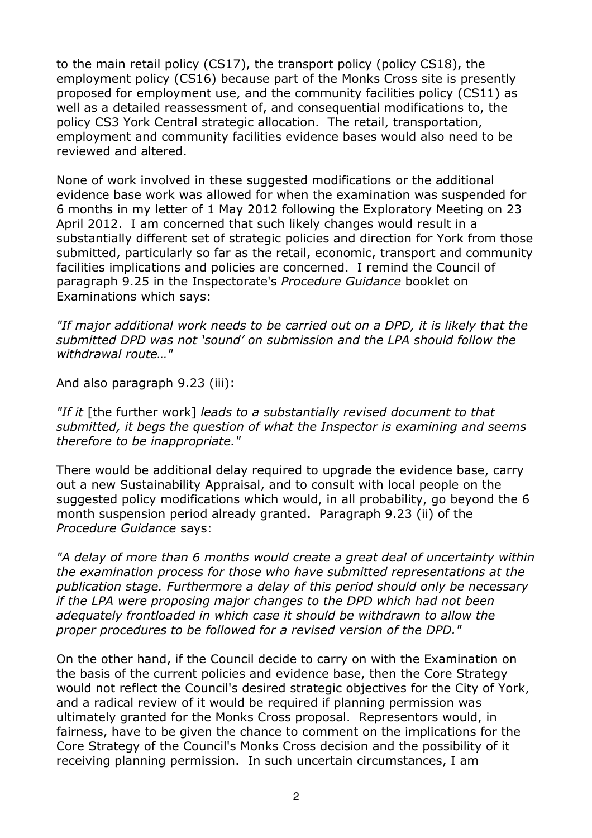to the main retail policy (CS17), the transport policy (policy CS18), the employment policy (CS16) because part of the Monks Cross site is presently proposed for employment use, and the community facilities policy (CS11) as well as a detailed reassessment of, and consequential modifications to, the policy CS3 York Central strategic allocation. The retail, transportation, employment and community facilities evidence bases would also need to be reviewed and altered.

None of work involved in these suggested modifications or the additional evidence base work was allowed for when the examination was suspended for 6 months in my letter of 1 May 2012 following the Exploratory Meeting on 23 April 2012. I am concerned that such likely changes would result in a substantially different set of strategic policies and direction for York from those submitted, particularly so far as the retail, economic, transport and community facilities implications and policies are concerned. I remind the Council of paragraph 9.25 in the Inspectorate's Procedure Guidance booklet on Examinations which says:

"If major additional work needs to be carried out on a DPD, it is likely that the submitted DPD was not 'sound' on submission and the LPA should follow the withdrawal route…"

And also paragraph 9.23 (iii):

"If it [the further work] leads to a substantially revised document to that submitted, it begs the question of what the Inspector is examining and seems therefore to be inappropriate."

There would be additional delay required to upgrade the evidence base, carry out a new Sustainability Appraisal, and to consult with local people on the suggested policy modifications which would, in all probability, go beyond the 6 month suspension period already granted. Paragraph 9.23 (ii) of the Procedure Guidance says:

"A delay of more than 6 months would create a great deal of uncertainty within the examination process for those who have submitted representations at the publication stage. Furthermore a delay of this period should only be necessary if the LPA were proposing major changes to the DPD which had not been adequately frontloaded in which case it should be withdrawn to allow the proper procedures to be followed for a revised version of the DPD."

On the other hand, if the Council decide to carry on with the Examination on the basis of the current policies and evidence base, then the Core Strategy would not reflect the Council's desired strategic objectives for the City of York, and a radical review of it would be required if planning permission was ultimately granted for the Monks Cross proposal. Representors would, in fairness, have to be given the chance to comment on the implications for the Core Strategy of the Council's Monks Cross decision and the possibility of it receiving planning permission. In such uncertain circumstances, I am